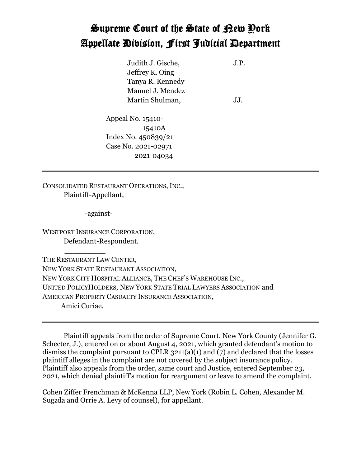## Supreme Court of the State of New York Appellate Division, First Judicial Department

Judith J. Gische, J.P. Jeffrey K. Oing Tanya R. Kennedy Manuel J. Mendez Martin Shulman, JJ.

Appeal No. 15410- 15410A Index No. 450839/21 Case No. 2021-02971 2021-04034

CONSOLIDATED RESTAURANT OPERATIONS, INC., Plaintiff-Appellant,

-against-

WESTPORT INSURANCE CORPORATION, Defendant-Respondent.

 $\frac{1}{\sqrt{2}}$  ,  $\frac{1}{\sqrt{2}}$  ,  $\frac{1}{\sqrt{2}}$  ,  $\frac{1}{\sqrt{2}}$  ,  $\frac{1}{\sqrt{2}}$  ,  $\frac{1}{\sqrt{2}}$  ,  $\frac{1}{\sqrt{2}}$ 

THE RESTAURANT LAW CENTER, NEW YORK STATE RESTAURANT ASSOCIATION, NEW YORK CITY HOSPITAL ALLIANCE, THE CHEF'S WAREHOUSE INC., UNITED POLICYHOLDERS, NEW YORK STATE TRIAL LAWYERS ASSOCIATION and AMERICAN PROPERTY CASUALTY INSURANCE ASSOCIATION, Amici Curiae.

Plaintiff appeals from the order of Supreme Court, New York County (Jennifer G. Schecter, J.), entered on or about August 4, 2021, which granted defendant's motion to dismiss the complaint pursuant to CPLR 3211(a)(1) and (7) and declared that the losses plaintiff alleges in the complaint are not covered by the subject insurance policy. Plaintiff also appeals from the order, same court and Justice, entered September 23, 2021, which denied plaintiff's motion for reargument or leave to amend the complaint.

Cohen Ziffer Frenchman & McKenna LLP, New York (Robin L. Cohen, Alexander M. Sugzda and Orrie A. Levy of counsel), for appellant.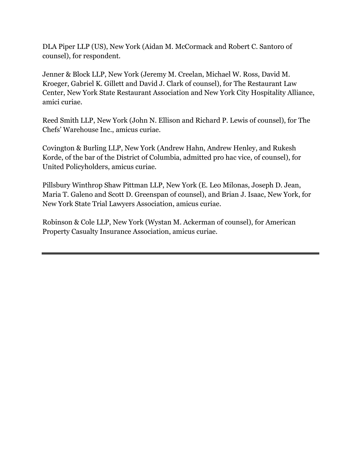DLA Piper LLP (US), New York (Aidan M. McCormack and Robert C. Santoro of counsel), for respondent.

Jenner & Block LLP, New York (Jeremy M. Creelan, Michael W. Ross, David M. Kroeger, Gabriel K. Gillett and David J. Clark of counsel), for The Restaurant Law Center, New York State Restaurant Association and New York City Hospitality Alliance, amici curiae.

Reed Smith LLP, New York (John N. Ellison and Richard P. Lewis of counsel), for The Chefs' Warehouse Inc., amicus curiae.

Covington & Burling LLP, New York (Andrew Hahn, Andrew Henley, and Rukesh Korde, of the bar of the District of Columbia, admitted pro hac vice, of counsel), for United Policyholders, amicus curiae.

Pillsbury Winthrop Shaw Pittman LLP, New York (E. Leo Milonas, Joseph D. Jean, Maria T. Galeno and Scott D. Greenspan of counsel), and Brian J. Isaac, New York, for New York State Trial Lawyers Association, amicus curiae.

Robinson & Cole LLP, New York (Wystan M. Ackerman of counsel), for American Property Casualty Insurance Association, amicus curiae.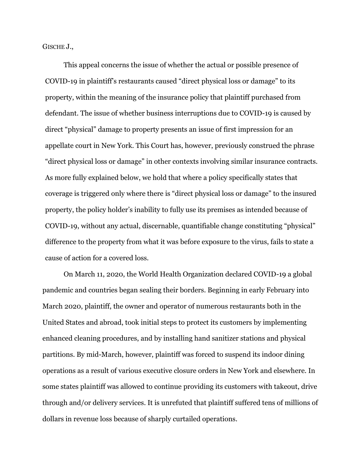GISCHE J.,

This appeal concerns the issue of whether the actual or possible presence of COVID-19 in plaintiff's restaurants caused "direct physical loss or damage" to its property, within the meaning of the insurance policy that plaintiff purchased from defendant. The issue of whether business interruptions due to COVID-19 is caused by direct "physical" damage to property presents an issue of first impression for an appellate court in New York. This Court has, however, previously construed the phrase "direct physical loss or damage" in other contexts involving similar insurance contracts. As more fully explained below, we hold that where a policy specifically states that coverage is triggered only where there is "direct physical loss or damage" to the insured property, the policy holder's inability to fully use its premises as intended because of COVID-19, without any actual, discernable, quantifiable change constituting "physical" difference to the property from what it was before exposure to the virus, fails to state a cause of action for a covered loss.

On March 11, 2020, the World Health Organization declared COVID-19 a global pandemic and countries began sealing their borders. Beginning in early February into March 2020, plaintiff, the owner and operator of numerous restaurants both in the United States and abroad, took initial steps to protect its customers by implementing enhanced cleaning procedures, and by installing hand sanitizer stations and physical partitions. By mid-March, however, plaintiff was forced to suspend its indoor dining operations as a result of various executive closure orders in New York and elsewhere. In some states plaintiff was allowed to continue providing its customers with takeout, drive through and/or delivery services. It is unrefuted that plaintiff suffered tens of millions of dollars in revenue loss because of sharply curtailed operations.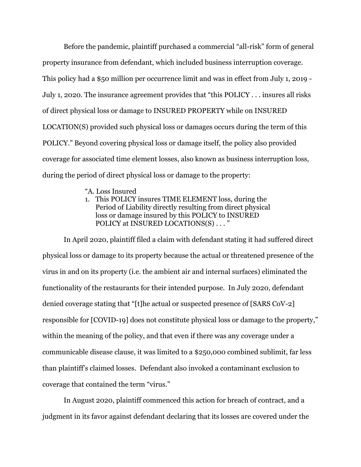Before the pandemic, plaintiff purchased a commercial "all-risk" form of general property insurance from defendant, which included business interruption coverage. This policy had a \$50 million per occurrence limit and was in effect from July 1, 2019 - July 1, 2020. The insurance agreement provides that "this POLICY . . . insures all risks of direct physical loss or damage to INSURED PROPERTY while on INSURED LOCATION(S) provided such physical loss or damages occurs during the term of this POLICY." Beyond covering physical loss or damage itself, the policy also provided coverage for associated time element losses, also known as business interruption loss, during the period of direct physical loss or damage to the property:

- "A. Loss Insured
- 1. This POLICY insures TIME ELEMENT loss, during the Period of Liability directly resulting from direct physical loss or damage insured by this POLICY to INSURED POLICY at INSURED LOCATIONS(S) . . . "

In April 2020, plaintiff filed a claim with defendant stating it had suffered direct physical loss or damage to its property because the actual or threatened presence of the virus in and on its property (i.e. the ambient air and internal surfaces) eliminated the functionality of the restaurants for their intended purpose. In July 2020, defendant denied coverage stating that "[t]he actual or suspected presence of [SARS CoV-2] responsible for [COVID-19] does not constitute physical loss or damage to the property," within the meaning of the policy, and that even if there was any coverage under a communicable disease clause, it was limited to a \$250,000 combined sublimit, far less than plaintiff's claimed losses. Defendant also invoked a contaminant exclusion to coverage that contained the term "virus."

In August 2020, plaintiff commenced this action for breach of contract, and a judgment in its favor against defendant declaring that its losses are covered under the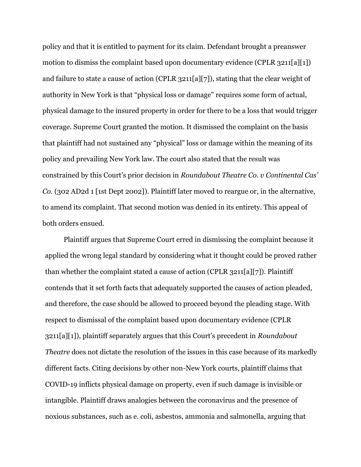policy and that it is entitled to payment for its claim. Defendant brought a preanswer motion to dismiss the complaint based upon documentary evidence (CPLR 3211[a][1]) and failure to state a cause of action (CPLR 3211[a][7]), stating that the clear weight of authority in New York is that "physical loss or damage" requires some form of actual, physical damage to the insured property in order for there to be a loss that would trigger coverage. Supreme Court granted the motion. It dismissed the complaint on the basis that plaintiff had not sustained any "physical" loss or damage within the meaning of its policy and prevailing New York law. The court also stated that the result was constrained by this Court's prior decision in *Roundabout Theatre Co. v Continental Cas' Co.* (302 AD2d 1 [1st Dept 2002]). Plaintiff later moved to reargue or, in the alternative, to amend its complaint. That second motion was denied in its entirety. This appeal of both orders ensued.

Plaintiff argues that Supreme Court erred in dismissing the complaint because it applied the wrong legal standard by considering what it thought could be proved rather than whether the complaint stated a cause of action (CPLR 3211[a][7]). Plaintiff contends that it set forth facts that adequately supported the causes of action pleaded, and therefore, the case should be allowed to proceed beyond the pleading stage. With respect to dismissal of the complaint based upon documentary evidence (CPLR 3211[a][1]), plaintiff separately argues that this Court's precedent in *Roundabout Theatre* does not dictate the resolution of the issues in this case because of its markedly different facts. Citing decisions by other non-New York courts, plaintiff claims that COVID-19 inflicts physical damage on property, even if such damage is invisible or intangible. Plaintiff draws analogies between the coronavirus and the presence of noxious substances, such as e. coli, asbestos, ammonia and salmonella, arguing that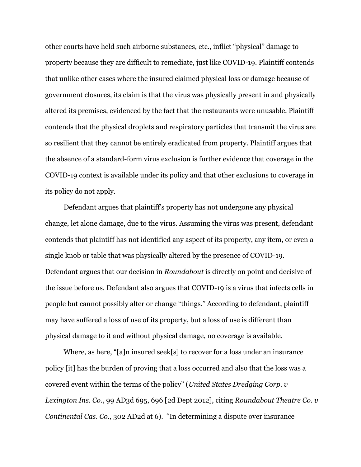other courts have held such airborne substances, etc., inflict "physical" damage to property because they are difficult to remediate, just like COVID-19. Plaintiff contends that unlike other cases where the insured claimed physical loss or damage because of government closures, its claim is that the virus was physically present in and physically altered its premises, evidenced by the fact that the restaurants were unusable. Plaintiff contends that the physical droplets and respiratory particles that transmit the virus are so resilient that they cannot be entirely eradicated from property. Plaintiff argues that the absence of a standard-form virus exclusion is further evidence that coverage in the COVID-19 context is available under its policy and that other exclusions to coverage in its policy do not apply.

Defendant argues that plaintiff's property has not undergone any physical change, let alone damage, due to the virus. Assuming the virus was present, defendant contends that plaintiff has not identified any aspect of its property, any item, or even a single knob or table that was physically altered by the presence of COVID-19. Defendant argues that our decision in *Roundabout* is directly on point and decisive of the issue before us. Defendant also argues that COVID-19 is a virus that infects cells in people but cannot possibly alter or change "things." According to defendant, plaintiff may have suffered a loss of use of its property, but a loss of use is different than physical damage to it and without physical damage, no coverage is available.

Where, as here, "[a]n insured seek[s] to recover for a loss under an insurance policy [it] has the burden of proving that a loss occurred and also that the loss was a covered event within the terms of the policy" (*United States Dredging Corp. v Lexington Ins. Co*., 99 AD3d 695, 696 [2d Dept 2012], citing *Roundabout Theatre Co. v Continental Cas. Co.,* 302 AD2d at 6). "In determining a dispute over insurance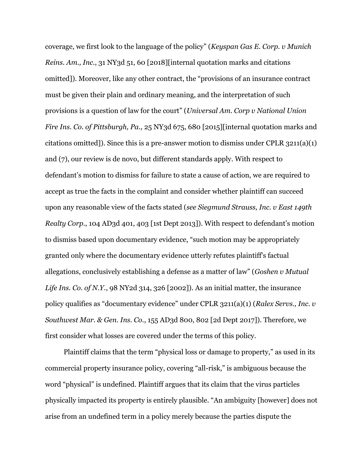coverage, we first look to the language of the policy" (*Keyspan Gas E. Corp. v Munich Reins. Am., Inc*., 31 NY3d 51, 60 [2018][internal quotation marks and citations omitted]). Moreover, like any other contract, the "provisions of an insurance contract must be given their plain and ordinary meaning, and the interpretation of such provisions is a question of law for the court" (*Universal Am. Corp v National Union Fire Ins. Co. of Pittsburgh, Pa., 25 NY3d 675, 680 [2015]* [internal quotation marks and citations omitted]). Since this is a pre-answer motion to dismiss under CPLR 3211(a)(1) and (7), our review is de novo, but different standards apply. With respect to defendant's motion to dismiss for failure to state a cause of action, we are required to accept as true the facts in the complaint and consider whether plaintiff can succeed upon any reasonable view of the facts stated (*see Siegmund Strauss, Inc. v East 149th Realty Corp*., 104 AD3d 401, 403 [1st Dept 2013]). With respect to defendant's motion to dismiss based upon documentary evidence, "such motion may be appropriately granted only where the documentary evidence utterly refutes plaintiff's factual allegations, conclusively establishing a defense as a matter of law" (*Goshen v Mutual Life Ins. Co. of N.Y.*, 98 NY2d 314, 326 [2002]). As an initial matter, the insurance policy qualifies as "documentary evidence" under CPLR 3211(a)(1) (*Ralex Servs., Inc. v Southwest Mar. & Gen. Ins. Co*., 155 AD3d 800, 802 [2d Dept 2017]). Therefore, we first consider what losses are covered under the terms of this policy.

Plaintiff claims that the term "physical loss or damage to property," as used in its commercial property insurance policy, covering "all-risk," is ambiguous because the word "physical" is undefined. Plaintiff argues that its claim that the virus particles physically impacted its property is entirely plausible. "An ambiguity [however] does not arise from an undefined term in a policy merely because the parties dispute the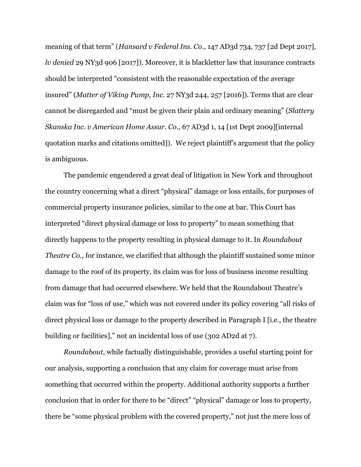meaning of that term" (*Hansard v Federal Ins. Co*., 147 AD3d 734, 737 [2d Dept 2017], *lv denied* 29 NY3d 906 [2017]). Moreover, it is blackletter law that insurance contracts should be interpreted "consistent with the reasonable expectation of the average insured" (*Matter of Viking Pump, Inc.* 27 NY3d 244, 257 [2016]). Terms that are clear cannot be disregarded and "must be given their plain and ordinary meaning" (*Slattery Skanska Inc. v American Home Assur. Co*., 67 AD3d 1, 14 [1st Dept 2009][internal quotation marks and citations omitted]). We reject plaintiff's argument that the policy is ambiguous.

The pandemic engendered a great deal of litigation in New York and throughout the country concerning what a direct "physical" damage or loss entails, for purposes of commercial property insurance policies, similar to the one at bar. This Court has interpreted "direct physical damage or loss to property" to mean something that directly happens to the property resulting in physical damage to it. In *Roundabout Theatre Co.*, for instance, we clarified that although the plaintiff sustained some minor damage to the roof of its property, its claim was for loss of business income resulting from damage that had occurred elsewhere. We held that the Roundabout Theatre's claim was for "loss of use," which was not covered under its policy covering "all risks of direct physical loss or damage to the property described in Paragraph I [i.e., the theatre building or facilities]," not an incidental loss of use (302 AD2d at 7).

*Roundabout*, while factually distinguishable, provides a useful starting point for our analysis, supporting a conclusion that any claim for coverage must arise from something that occurred within the property. Additional authority supports a further conclusion that in order for there to be "direct" "physical" damage or loss to property, there be "some physical problem with the covered property," not just the mere loss of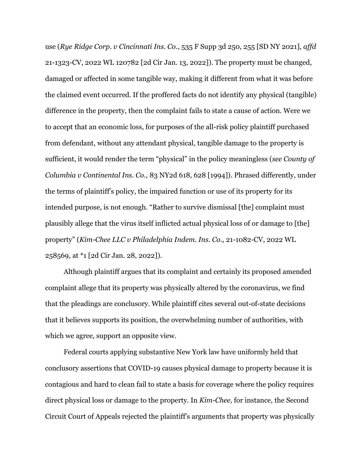use (*Rye Ridge Corp. v Cincinnati Ins. Co.*, 535 F Supp 3d 250, 255 [SD NY 2021], *affd* 21-1323-CV, 2022 WL 120782 [2d Cir Jan. 13, 2022]). The property must be changed, damaged or affected in some tangible way, making it different from what it was before the claimed event occurred. If the proffered facts do not identify any physical (tangible) difference in the property, then the complaint fails to state a cause of action. Were we to accept that an economic loss, for purposes of the all-risk policy plaintiff purchased from defendant, without any attendant physical, tangible damage to the property is sufficient, it would render the term "physical" in the policy meaningless (*see County of Columbia v Continental Ins. Co.,* 83 NY2d 618, 628 [1994]). Phrased differently, under the terms of plaintiff's policy, the impaired function or use of its property for its intended purpose, is not enough. "Rather to survive dismissal [the] complaint must plausibly allege that the virus itself inflicted actual physical loss of or damage to [the] property" (*Kim-Chee LLC v Philadelphia Indem. Ins. Co*., 21-1082-CV, 2022 WL 258569, at \*1 [2d Cir Jan. 28, 2022]).

Although plaintiff argues that its complaint and certainly its proposed amended complaint allege that its property was physically altered by the coronavirus, we find that the pleadings are conclusory. While plaintiff cites several out-of-state decisions that it believes supports its position, the overwhelming number of authorities, with which we agree, support an opposite view.

Federal courts applying substantive New York law have uniformly held that conclusory assertions that COVID-19 causes physical damage to property because it is contagious and hard to clean fail to state a basis for coverage where the policy requires direct physical loss or damage to the property. In *Kim-Chee,* for instance*,* the Second Circuit Court of Appeals rejected the plaintiff's arguments that property was physically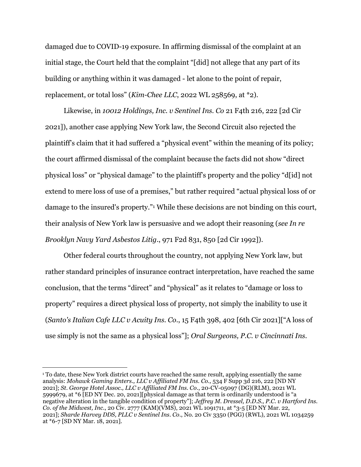damaged due to COVID-19 exposure. In affirming dismissal of the complaint at an initial stage, the Court held that the complaint "[did] not allege that any part of its building or anything within it was damaged - let alone to the point of repair, replacement, or total loss" (*Kim-Chee LLC*, 2022 WL 258569, at \*2).

Likewise, in *10012 Holdings, Inc. v Sentinel Ins. Co* 21 F4th 216, 222 [2d Cir 2021]), another case applying New York law, the Second Circuit also rejected the plaintiff's claim that it had suffered a "physical event" within the meaning of its policy; the court affirmed dismissal of the complaint because the facts did not show "direct physical loss" or "physical damage" to the plaintiff's property and the policy "d[id] not extend to mere loss of use of a premises," but rather required "actual physical loss of or damage to the insured's property."<sup>1</sup> While these decisions are not binding on this court, their analysis of New York law is persuasive and we adopt their reasoning (*see In re Brooklyn Navy Yard Asbestos Litig*., 971 F2d 831, 850 [2d Cir 1992]).

Other federal courts throughout the country, not applying New York law, but rather standard principles of insurance contract interpretation, have reached the same conclusion, that the terms "direct" and "physical" as it relates to "damage or loss to property" requires a direct physical loss of property, not simply the inability to use it (*Santo's Italian Cafe LLC v Acuity Ins. Co*., 15 F4th 398, 402 [6th Cir 2021]["A loss of use simply is not the same as a physical loss"]; *Oral Surgeons, P.C. v Cincinnati Ins.* 

<sup>1</sup> To date, these New York district courts have reached the same result, applying essentially the same analysis: *Mohawk Gaming Enters., LLC v Affiliated FM Ins. Co.,* 534 F Supp 3d 216, 222 [ND NY 2021]; *St. George Hotel Assoc., LLC v Affiliated FM Ins. Co*., 20-CV-05097 (DG)(RLM), 2021 WL 5999679, at \*6 [ED NY Dec. 20, 2021][physical damage as that term is ordinarily understood is "a negative alteration in the tangible condition of property"]; *Jeffrey M. Dressel, D.D.S., P.C. v Hartford Ins. Co. of the Midwest, Inc*., 20 Civ. 2777 (KAM)(VMS), 2021 WL 1091711, at \*3-5 [ED NY Mar. 22, 2021]; *Sharde Harvey DDS, PLLC v Sentinel Ins. Co*., No. 20 Civ 3350 (PGG) (RWL), 2021 WL 1034259 at \*6-7 [SD NY Mar. 18, 2021].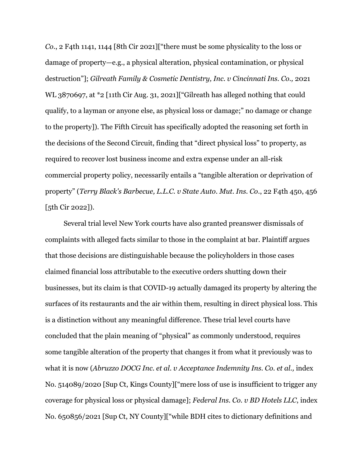*Co*., 2 F4th 1141, 1144 [8th Cir 2021]["there must be some physicality to the loss or damage of property—e.g., a physical alteration, physical contamination, or physical destruction"]; *Gilreath Family & Cosmetic Dentistry, Inc. v Cincinnati Ins. Co.,* 2021 WL 3870697, at \*2 [11th Cir Aug. 31, 2021] ["Gilreath has alleged nothing that could qualify, to a layman or anyone else, as physical loss or damage;" no damage or change to the property]). The Fifth Circuit has specifically adopted the reasoning set forth in the decisions of the Second Circuit, finding that "direct physical loss" to property, as required to recover lost business income and extra expense under an all-risk commercial property policy, necessarily entails a "tangible alteration or deprivation of property" (*Terry Black's Barbecue, L.L.C. v State Auto. Mut. Ins. Co*., 22 F4th 450, 456 [5th Cir 2022]).

Several trial level New York courts have also granted preanswer dismissals of complaints with alleged facts similar to those in the complaint at bar. Plaintiff argues that those decisions are distinguishable because the policyholders in those cases claimed financial loss attributable to the executive orders shutting down their businesses, but its claim is that COVID-19 actually damaged its property by altering the surfaces of its restaurants and the air within them, resulting in direct physical loss. This is a distinction without any meaningful difference. These trial level courts have concluded that the plain meaning of "physical" as commonly understood, requires some tangible alteration of the property that changes it from what it previously was to what it is now (*Abruzzo DOCG Inc. et al. v Acceptance Indemnity Ins. Co. et al.,* index No. 514089/2020 [Sup Ct, Kings County]["mere loss of use is insufficient to trigger any coverage for physical loss or physical damage]; *Federal Ins. Co. v BD Hotels LLC*, index No. 650856/2021 [Sup Ct, NY County]["while BDH cites to dictionary definitions and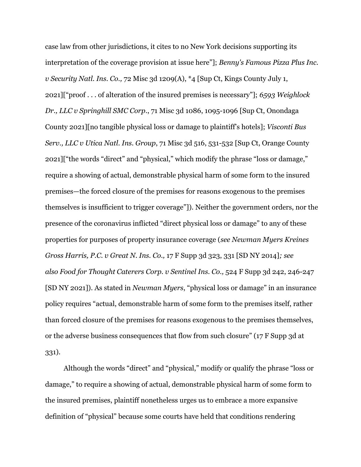case law from other jurisdictions, it cites to no New York decisions supporting its interpretation of the coverage provision at issue here"]; *Benny's Famous Pizza Plus Inc. v Security Natl. Ins. Co.,* 72 Misc 3d 1209(A), \*4 [Sup Ct, Kings County July 1, 2021]["proof . . . of alteration of the insured premises is necessary"]; *6593 Weighlock Dr., LLC v Springhill SMC Corp*., 71 Misc 3d 1086, 1095-1096 [Sup Ct, Onondaga County 2021][no tangible physical loss or damage to plaintiff's hotels]; *Visconti Bus Serv., LLC v Utica Natl. Ins. Group*, 71 Misc 3d 516, 531-532 [Sup Ct, Orange County 2021]["the words "direct" and "physical," which modify the phrase "loss or damage," require a showing of actual, demonstrable physical harm of some form to the insured premises—the forced closure of the premises for reasons exogenous to the premises themselves is insufficient to trigger coverage"]). Neither the government orders, nor the presence of the coronavirus inflicted "direct physical loss or damage" to any of these properties for purposes of property insurance coverage (*see Newman Myers Kreines Gross Harris, P.C. v Great N. Ins. Co.,* 17 F Supp 3d 323, 331 [SD NY 2014]*; see also Food for Thought Caterers Corp. v Sentinel Ins. Co.,* 524 F Supp 3d 242, 246-247 [SD NY 2021]). As stated in *Newman Myers*, "physical loss or damage" in an insurance policy requires "actual, demonstrable harm of some form to the premises itself, rather than forced closure of the premises for reasons exogenous to the premises themselves, or the adverse business consequences that flow from such closure" (17 F Supp 3d at 331).

Although the words "direct" and "physical," modify or qualify the phrase "loss or damage," to require a showing of actual, demonstrable physical harm of some form to the insured premises, plaintiff nonetheless urges us to embrace a more expansive definition of "physical" because some courts have held that conditions rendering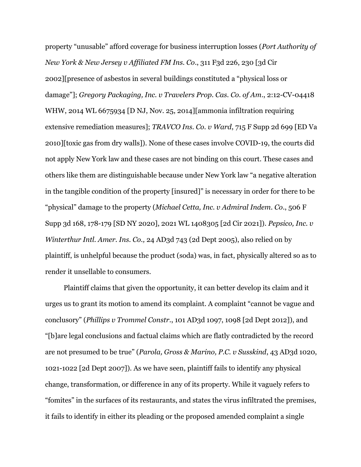property "unusable" afford coverage for business interruption losses (*Port Authority of New York & New Jersey v Affiliated FM Ins. Co*., 311 F3d 226, 230 [3d Cir 2002][presence of asbestos in several buildings constituted a "physical loss or damage"]; *Gregory Packaging, Inc. v Travelers Prop. Cas. Co. of Am*., 2:12-CV-04418 WHW, 2014 WL 6675934 [D NJ, Nov. 25, 2014][ammonia infiltration requiring extensive remediation measures]; *TRAVCO Ins. Co. v Ward*, 715 F Supp 2d 699 [ED Va 2010][toxic gas from dry walls]). None of these cases involve COVID-19, the courts did not apply New York law and these cases are not binding on this court. These cases and others like them are distinguishable because under New York law "a negative alteration in the tangible condition of the property [insured]" is necessary in order for there to be "physical" damage to the property (*Michael Cetta, Inc. v Admiral Indem. Co*., 506 F Supp 3d 168, 178-179 [SD NY 2020], 2021 WL 1408305 [2d Cir 2021]). *Pepsico, Inc. v Winterthur Intl. Amer. Ins. Co.,* 24 AD3d 743 (2d Dept 2005), also relied on by plaintiff, is unhelpful because the product (soda) was, in fact, physically altered so as to render it unsellable to consumers.

Plaintiff claims that given the opportunity, it can better develop its claim and it urges us to grant its motion to amend its complaint. A complaint "cannot be vague and conclusory" (*Phillips v Trommel Constr*., 101 AD3d 1097, 1098 [2d Dept 2012]), and "[b]are legal conclusions and factual claims which are flatly contradicted by the record are not presumed to be true" (*Parola, Gross & Marino, P.C. v Susskind*, 43 AD3d 1020, 1021-1022 [2d Dept 2007]). As we have seen, plaintiff fails to identify any physical change, transformation, or difference in any of its property. While it vaguely refers to "fomites" in the surfaces of its restaurants, and states the virus infiltrated the premises, it fails to identify in either its pleading or the proposed amended complaint a single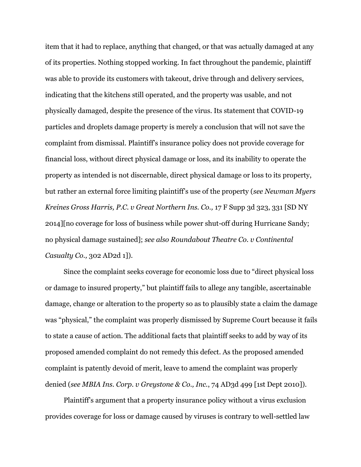item that it had to replace, anything that changed, or that was actually damaged at any of its properties. Nothing stopped working. In fact throughout the pandemic, plaintiff was able to provide its customers with takeout, drive through and delivery services, indicating that the kitchens still operated, and the property was usable, and not physically damaged, despite the presence of the virus. Its statement that COVID-19 particles and droplets damage property is merely a conclusion that will not save the complaint from dismissal. Plaintiff's insurance policy does not provide coverage for financial loss, without direct physical damage or loss, and its inability to operate the property as intended is not discernable, direct physical damage or loss to its property, but rather an external force limiting plaintiff's use of the property (*see Newman Myers Kreines Gross Harris, P.C. v Great Northern Ins. Co.,* 17 F Supp 3d 323, 331 [SD NY 2014][no coverage for loss of business while power shut-off during Hurricane Sandy; no physical damage sustained]; *see also Roundabout Theatre Co. v Continental Casualty Co.,* 302 AD2d 1]).

Since the complaint seeks coverage for economic loss due to "direct physical loss or damage to insured property," but plaintiff fails to allege any tangible, ascertainable damage, change or alteration to the property so as to plausibly state a claim the damage was "physical," the complaint was properly dismissed by Supreme Court because it fails to state a cause of action. The additional facts that plaintiff seeks to add by way of its proposed amended complaint do not remedy this defect. As the proposed amended complaint is patently devoid of merit, leave to amend the complaint was properly denied (*see MBIA Ins. Corp. v Greystone & Co., Inc.*, 74 AD3d 499 [1st Dept 2010]).

Plaintiff's argument that a property insurance policy without a virus exclusion provides coverage for loss or damage caused by viruses is contrary to well-settled law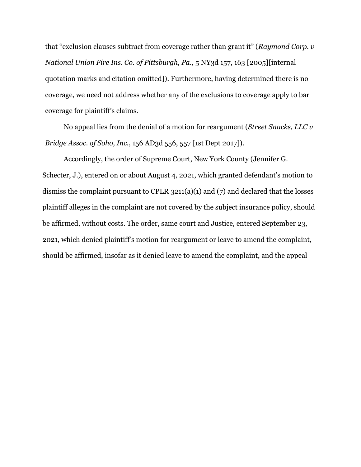that "exclusion clauses subtract from coverage rather than grant it" (*Raymond Corp. v National Union Fire Ins. Co. of Pittsburgh, Pa.,* 5 NY3d 157, 163 [2005][internal quotation marks and citation omitted]). Furthermore, having determined there is no coverage, we need not address whether any of the exclusions to coverage apply to bar coverage for plaintiff's claims.

No appeal lies from the denial of a motion for reargument (*Street Snacks, LLC v Bridge Assoc. of Soho, Inc.*, 156 AD3d 556, 557 [1st Dept 2017]).

Accordingly, the order of Supreme Court, New York County (Jennifer G. Schecter, J.), entered on or about August 4, 2021, which granted defendant's motion to dismiss the complaint pursuant to CPLR 3211(a)(1) and (7) and declared that the losses plaintiff alleges in the complaint are not covered by the subject insurance policy, should be affirmed, without costs. The order, same court and Justice, entered September 23, 2021, which denied plaintiff's motion for reargument or leave to amend the complaint, should be affirmed, insofar as it denied leave to amend the complaint, and the appeal